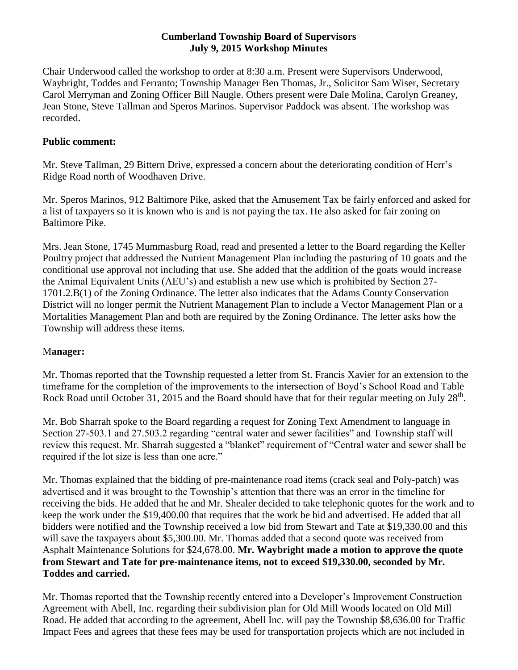## **Cumberland Township Board of Supervisors July 9, 2015 Workshop Minutes**

Chair Underwood called the workshop to order at 8:30 a.m. Present were Supervisors Underwood, Waybright, Toddes and Ferranto; Township Manager Ben Thomas, Jr., Solicitor Sam Wiser, Secretary Carol Merryman and Zoning Officer Bill Naugle. Others present were Dale Molina, Carolyn Greaney, Jean Stone, Steve Tallman and Speros Marinos. Supervisor Paddock was absent. The workshop was recorded.

## **Public comment:**

Mr. Steve Tallman, 29 Bittern Drive, expressed a concern about the deteriorating condition of Herr's Ridge Road north of Woodhaven Drive.

Mr. Speros Marinos, 912 Baltimore Pike, asked that the Amusement Tax be fairly enforced and asked for a list of taxpayers so it is known who is and is not paying the tax. He also asked for fair zoning on Baltimore Pike.

Mrs. Jean Stone, 1745 Mummasburg Road, read and presented a letter to the Board regarding the Keller Poultry project that addressed the Nutrient Management Plan including the pasturing of 10 goats and the conditional use approval not including that use. She added that the addition of the goats would increase the Animal Equivalent Units (AEU's) and establish a new use which is prohibited by Section 27- 1701.2.B(1) of the Zoning Ordinance. The letter also indicates that the Adams County Conservation District will no longer permit the Nutrient Management Plan to include a Vector Management Plan or a Mortalities Management Plan and both are required by the Zoning Ordinance. The letter asks how the Township will address these items.

## M**anager:**

Mr. Thomas reported that the Township requested a letter from St. Francis Xavier for an extension to the timeframe for the completion of the improvements to the intersection of Boyd's School Road and Table Rock Road until October 31, 2015 and the Board should have that for their regular meeting on July 28<sup>th</sup>.

Mr. Bob Sharrah spoke to the Board regarding a request for Zoning Text Amendment to language in Section 27-503.1 and 27.503.2 regarding "central water and sewer facilities" and Township staff will review this request. Mr. Sharrah suggested a "blanket" requirement of "Central water and sewer shall be required if the lot size is less than one acre."

Mr. Thomas explained that the bidding of pre-maintenance road items (crack seal and Poly-patch) was advertised and it was brought to the Township's attention that there was an error in the timeline for receiving the bids. He added that he and Mr. Shealer decided to take telephonic quotes for the work and to keep the work under the \$19,400.00 that requires that the work be bid and advertised. He added that all bidders were notified and the Township received a low bid from Stewart and Tate at \$19,330.00 and this will save the taxpayers about \$5,300.00. Mr. Thomas added that a second quote was received from Asphalt Maintenance Solutions for \$24,678.00. **Mr. Waybright made a motion to approve the quote from Stewart and Tate for pre-maintenance items, not to exceed \$19,330.00, seconded by Mr. Toddes and carried.**

Mr. Thomas reported that the Township recently entered into a Developer's Improvement Construction Agreement with Abell, Inc. regarding their subdivision plan for Old Mill Woods located on Old Mill Road. He added that according to the agreement, Abell Inc. will pay the Township \$8,636.00 for Traffic Impact Fees and agrees that these fees may be used for transportation projects which are not included in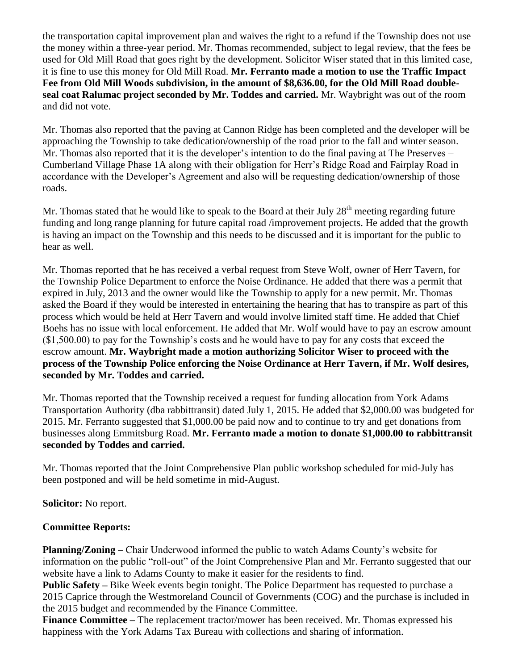the transportation capital improvement plan and waives the right to a refund if the Township does not use the money within a three-year period. Mr. Thomas recommended, subject to legal review, that the fees be used for Old Mill Road that goes right by the development. Solicitor Wiser stated that in this limited case, it is fine to use this money for Old Mill Road. **Mr. Ferranto made a motion to use the Traffic Impact Fee from Old Mill Woods subdivision, in the amount of \$8,636.00, for the Old Mill Road doubleseal coat Ralumac project seconded by Mr. Toddes and carried.** Mr. Waybright was out of the room and did not vote.

Mr. Thomas also reported that the paving at Cannon Ridge has been completed and the developer will be approaching the Township to take dedication/ownership of the road prior to the fall and winter season. Mr. Thomas also reported that it is the developer's intention to do the final paving at The Preserves – Cumberland Village Phase 1A along with their obligation for Herr's Ridge Road and Fairplay Road in accordance with the Developer's Agreement and also will be requesting dedication/ownership of those roads.

Mr. Thomas stated that he would like to speak to the Board at their July  $28<sup>th</sup>$  meeting regarding future funding and long range planning for future capital road /improvement projects. He added that the growth is having an impact on the Township and this needs to be discussed and it is important for the public to hear as well.

Mr. Thomas reported that he has received a verbal request from Steve Wolf, owner of Herr Tavern, for the Township Police Department to enforce the Noise Ordinance. He added that there was a permit that expired in July, 2013 and the owner would like the Township to apply for a new permit. Mr. Thomas asked the Board if they would be interested in entertaining the hearing that has to transpire as part of this process which would be held at Herr Tavern and would involve limited staff time. He added that Chief Boehs has no issue with local enforcement. He added that Mr. Wolf would have to pay an escrow amount (\$1,500.00) to pay for the Township's costs and he would have to pay for any costs that exceed the escrow amount. **Mr. Waybright made a motion authorizing Solicitor Wiser to proceed with the process of the Township Police enforcing the Noise Ordinance at Herr Tavern, if Mr. Wolf desires, seconded by Mr. Toddes and carried.** 

Mr. Thomas reported that the Township received a request for funding allocation from York Adams Transportation Authority (dba rabbittransit) dated July 1, 2015. He added that \$2,000.00 was budgeted for 2015. Mr. Ferranto suggested that \$1,000.00 be paid now and to continue to try and get donations from businesses along Emmitsburg Road. **Mr. Ferranto made a motion to donate \$1,000.00 to rabbittransit seconded by Toddes and carried.**

Mr. Thomas reported that the Joint Comprehensive Plan public workshop scheduled for mid-July has been postponed and will be held sometime in mid-August.

**Solicitor:** No report.

## **Committee Reports:**

**Planning/Zoning** – Chair Underwood informed the public to watch Adams County's website for information on the public "roll-out" of the Joint Comprehensive Plan and Mr. Ferranto suggested that our website have a link to Adams County to make it easier for the residents to find.

**Public Safety –** Bike Week events begin tonight. The Police Department has requested to purchase a 2015 Caprice through the Westmoreland Council of Governments (COG) and the purchase is included in the 2015 budget and recommended by the Finance Committee.

**Finance Committee –** The replacement tractor/mower has been received. Mr. Thomas expressed his happiness with the York Adams Tax Bureau with collections and sharing of information.